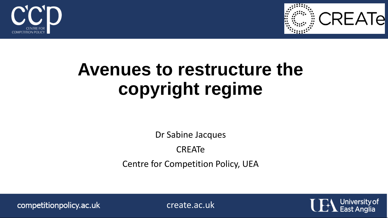



#### **Avenues to restructure the copyright regime**

Dr Sabine Jacques

CREATe

Centre for Competition Policy, UEA

competitionpolicy.ac.uk

create.ac.uk

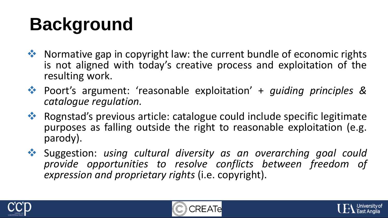# **Background**

- ◆ Normative gap in copyright law: the current bundle of economic rights is not aligned with today's creative process and exploitation of the resulting work.
- Poort's argument: 'reasonable exploitation' + *guiding principles & catalogue regulation.*
- ◆ Rognstad's previous article: catalogue could include specific legitimate purposes as falling outside the right to reasonable exploitation (e.g. parody).
- Suggestion: *using cultural diversity as an overarching goal could provide opportunities to resolve conflicts between freedom of expression and proprietary rights* (i.e. copyright).





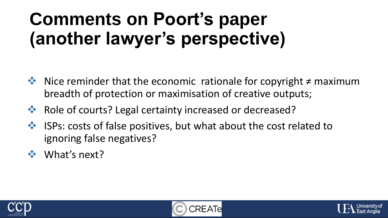## **Comments on Poort's paper (another lawyer's perspective)**

- $\triangle$  Nice reminder that the economic rationale for copyright ≠ maximum breadth of protection or maximisation of creative outputs;
- Role of courts? Legal certainty increased or decreased?
- ◆ ISPs: costs of false positives, but what about the cost related to ignoring false negatives?
- **❖** What's next?





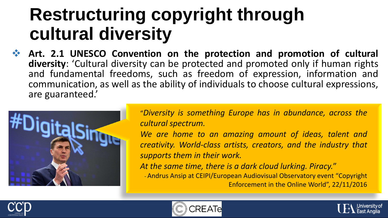#### **Restructuring copyright through cultural diversity**

 **Art. 2.1 UNESCO Convention on the protection and promotion of cultural diversity**: 'Cultural diversity can be protected and promoted only if human rights and fundamental freedoms, such as freedom of expression, information and communication, as well as the ability of individuals to choose cultural expressions, are guaranteed.'



"*Diversity is something Europe has in abundance, across the cultural spectrum.*

*We are home to an amazing amount of ideas, talent and creativity. World-class artists, creators, and the industry that supports them in their work.*

*At the same time, there is a dark cloud lurking. Piracy.*"

- Andrus Ansip at CEIPI/European Audiovisual Observatory event "Copyright Enforcement in the Online World", 22/11/2016





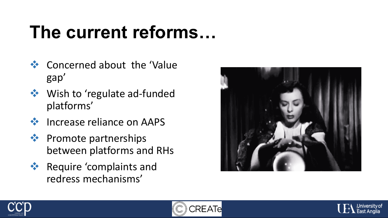## **The current reforms…**

- ❖ Concerned about the 'Value' gap'
- **❖** Wish to 'regulate ad-funded platforms'
- ❖ Increase reliance on AAPS
- ❖ Promote partnerships between platforms and RHs
- **EXECUTE** *\** Require 'complaints and redress mechanisms'







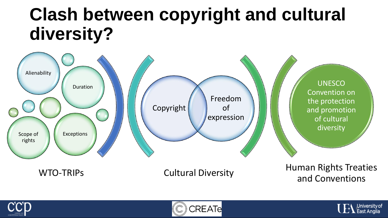#### **Clash between copyright and cultural diversity?**







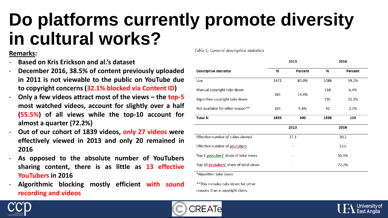### **Do platforms currently promote diversity in cultural works?**

#### **Remarks:**

- **Based on Kris Erickson and al.'s dataset**
- **December 2016, 38.5% of content previously uploaded in 2011 is not viewable to the public on YouTube due to copyright concerns (32.1% blocked via Content ID)**
- **Only a few videos attract most of the views – the top-5 most watched videos, account for slightly over a half (55.5%) of all views while the top-10 account for almost a quarter (72.2%)**
- **Out of our cohort of 1839 videos, only 27 videos were effectively viewed in 2013 and only 20 remained in 2016**
- **As opposed to the absolute number of YouTubers sharing content, there is as little as 13 effective YouTubers in 2016**
- **Algorithmic blocking mostly efficient with sound recording and videos**

Table 1: General descriptive statistics

|                                        | 2013 |         | 2016  |         |
|----------------------------------------|------|---------|-------|---------|
| <b>Descriptive statistics</b>          | N    | Percent | N     | Percent |
| Live                                   | 1471 | 80.0%   | 1088  | 59.2%   |
| Manual copyright take down             | 265  | 14.4%   | 118   | 6.4%    |
| Algorithm copyright take down          |      |         | 591   | 32.1%   |
| Not available for other reason**       | 103  | 5.6%    | 42    | 2.3%    |
| <b>Total N</b>                         | 1839 | 100     | 1839  | 100     |
|                                        | 2013 |         | 2016  |         |
| Effective number of tubes viewed       | 27.2 |         | 20.2  |         |
| Effective number of youtubers          |      |         | 13.6  |         |
| Top 5 youtubers' share of total views  |      |         | 55.5% |         |
| Top 10 youtubers' share of total views |      |         | 72.2% |         |
| *Algorithm take down                   |      |         |       |         |

\*\*This includes take down for other reasons than a copyright claim.